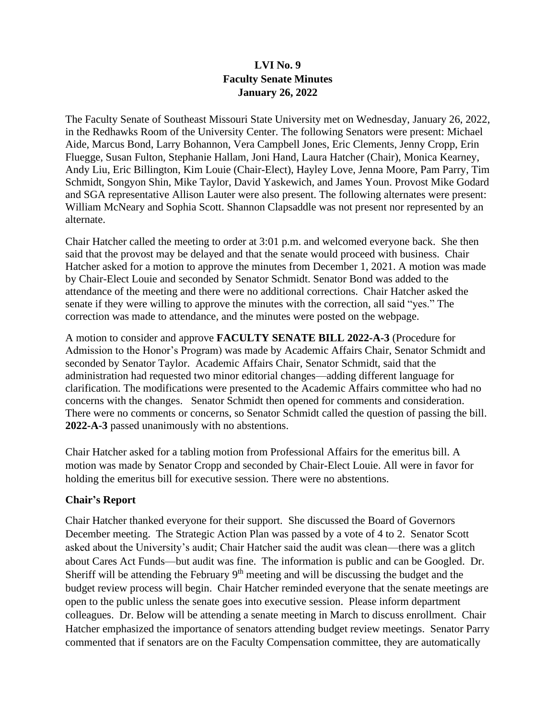# **LVI No. 9 Faculty Senate Minutes January 26, 2022**

The Faculty Senate of Southeast Missouri State University met on Wednesday, January 26, 2022, in the Redhawks Room of the University Center. The following Senators were present: Michael Aide, Marcus Bond, Larry Bohannon, Vera Campbell Jones, Eric Clements, Jenny Cropp, Erin Fluegge, Susan Fulton, Stephanie Hallam, Joni Hand, Laura Hatcher (Chair), Monica Kearney, Andy Liu, Eric Billington, Kim Louie (Chair-Elect), Hayley Love, Jenna Moore, Pam Parry, Tim Schmidt, Songyon Shin, Mike Taylor, David Yaskewich, and James Youn. Provost Mike Godard and SGA representative Allison Lauter were also present. The following alternates were present: William McNeary and Sophia Scott. Shannon Clapsaddle was not present nor represented by an alternate.

Chair Hatcher called the meeting to order at 3:01 p.m. and welcomed everyone back. She then said that the provost may be delayed and that the senate would proceed with business. Chair Hatcher asked for a motion to approve the minutes from December 1, 2021. A motion was made by Chair-Elect Louie and seconded by Senator Schmidt. Senator Bond was added to the attendance of the meeting and there were no additional corrections. Chair Hatcher asked the senate if they were willing to approve the minutes with the correction, all said "yes." The correction was made to attendance, and the minutes were posted on the webpage.

A motion to consider and approve **FACULTY SENATE BILL 2022-A-3** (Procedure for Admission to the Honor's Program) was made by Academic Affairs Chair, Senator Schmidt and seconded by Senator Taylor. Academic Affairs Chair, Senator Schmidt, said that the administration had requested two minor editorial changes—adding different language for clarification. The modifications were presented to the Academic Affairs committee who had no concerns with the changes. Senator Schmidt then opened for comments and consideration. There were no comments or concerns, so Senator Schmidt called the question of passing the bill. **2022-A-3** passed unanimously with no abstentions.

Chair Hatcher asked for a tabling motion from Professional Affairs for the emeritus bill. A motion was made by Senator Cropp and seconded by Chair-Elect Louie. All were in favor for holding the emeritus bill for executive session. There were no abstentions.

#### **Chair's Report**

Chair Hatcher thanked everyone for their support. She discussed the Board of Governors December meeting. The Strategic Action Plan was passed by a vote of 4 to 2. Senator Scott asked about the University's audit; Chair Hatcher said the audit was clean—there was a glitch about Cares Act Funds—but audit was fine. The information is public and can be Googled. Dr. Sheriff will be attending the February  $9<sup>th</sup>$  meeting and will be discussing the budget and the budget review process will begin. Chair Hatcher reminded everyone that the senate meetings are open to the public unless the senate goes into executive session. Please inform department colleagues. Dr. Below will be attending a senate meeting in March to discuss enrollment. Chair Hatcher emphasized the importance of senators attending budget review meetings. Senator Parry commented that if senators are on the Faculty Compensation committee, they are automatically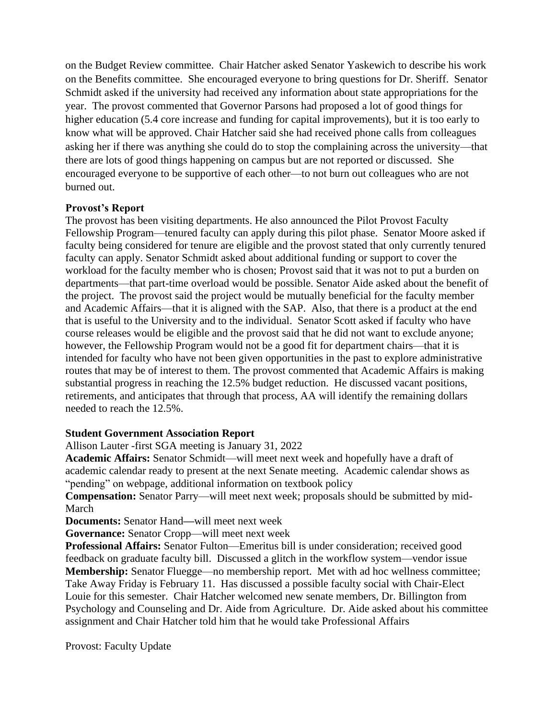on the Budget Review committee. Chair Hatcher asked Senator Yaskewich to describe his work on the Benefits committee. She encouraged everyone to bring questions for Dr. Sheriff. Senator Schmidt asked if the university had received any information about state appropriations for the year. The provost commented that Governor Parsons had proposed a lot of good things for higher education (5.4 core increase and funding for capital improvements), but it is too early to know what will be approved. Chair Hatcher said she had received phone calls from colleagues asking her if there was anything she could do to stop the complaining across the university—that there are lots of good things happening on campus but are not reported or discussed. She encouraged everyone to be supportive of each other—to not burn out colleagues who are not burned out.

### **Provost's Report**

The provost has been visiting departments. He also announced the Pilot Provost Faculty Fellowship Program—tenured faculty can apply during this pilot phase. Senator Moore asked if faculty being considered for tenure are eligible and the provost stated that only currently tenured faculty can apply. Senator Schmidt asked about additional funding or support to cover the workload for the faculty member who is chosen; Provost said that it was not to put a burden on departments—that part-time overload would be possible. Senator Aide asked about the benefit of the project. The provost said the project would be mutually beneficial for the faculty member and Academic Affairs—that it is aligned with the SAP. Also, that there is a product at the end that is useful to the University and to the individual. Senator Scott asked if faculty who have course releases would be eligible and the provost said that he did not want to exclude anyone; however, the Fellowship Program would not be a good fit for department chairs—that it is intended for faculty who have not been given opportunities in the past to explore administrative routes that may be of interest to them. The provost commented that Academic Affairs is making substantial progress in reaching the 12.5% budget reduction. He discussed vacant positions, retirements, and anticipates that through that process, AA will identify the remaining dollars needed to reach the 12.5%.

## **Student Government Association Report**

Allison Lauter -first SGA meeting is January 31, 2022

**Academic Affairs:** Senator Schmidt—will meet next week and hopefully have a draft of academic calendar ready to present at the next Senate meeting. Academic calendar shows as "pending" on webpage, additional information on textbook policy

**Compensation:** Senator Parry—will meet next week; proposals should be submitted by mid-March

**Documents:** Senator Hand**—**will meet next week

**Governance:** Senator Cropp—will meet next week

**Professional Affairs:** Senator Fulton—Emeritus bill is under consideration; received good feedback on graduate faculty bill. Discussed a glitch in the workflow system—vendor issue **Membership:** Senator Fluegge—no membership report. Met with ad hoc wellness committee; Take Away Friday is February 11. Has discussed a possible faculty social with Chair-Elect Louie for this semester. Chair Hatcher welcomed new senate members, Dr. Billington from Psychology and Counseling and Dr. Aide from Agriculture. Dr. Aide asked about his committee assignment and Chair Hatcher told him that he would take Professional Affairs

Provost: Faculty Update